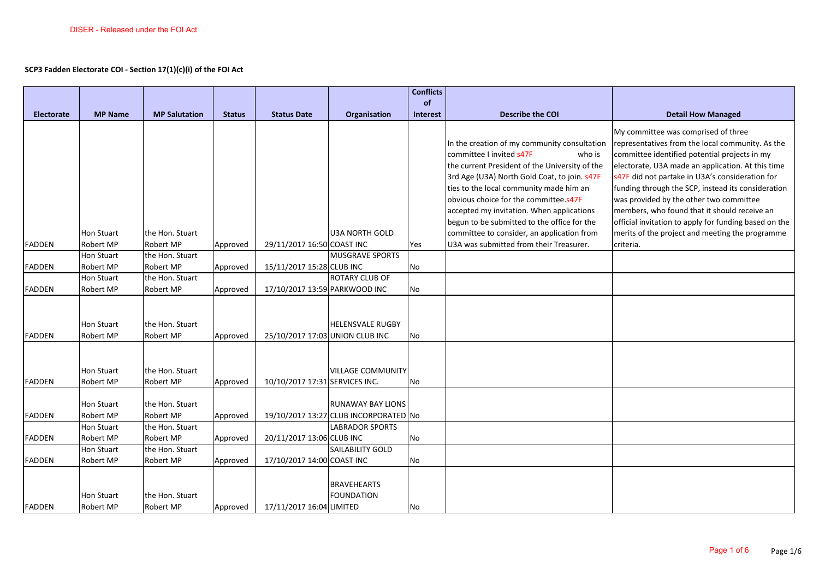## **SCP3 Fadden Electorate COI - Section 17(1)(c)(i) of the FOI Act**

|                   |                                       |                              |               |                                 |                                                                   | <b>Conflicts</b> |                                                                                                                                                                                                                                                                                                                                                                                                                    |                                                                                                                                                                                                                                                                                                                                                                                                                                                                                                               |
|-------------------|---------------------------------------|------------------------------|---------------|---------------------------------|-------------------------------------------------------------------|------------------|--------------------------------------------------------------------------------------------------------------------------------------------------------------------------------------------------------------------------------------------------------------------------------------------------------------------------------------------------------------------------------------------------------------------|---------------------------------------------------------------------------------------------------------------------------------------------------------------------------------------------------------------------------------------------------------------------------------------------------------------------------------------------------------------------------------------------------------------------------------------------------------------------------------------------------------------|
|                   |                                       |                              |               |                                 |                                                                   | of               |                                                                                                                                                                                                                                                                                                                                                                                                                    |                                                                                                                                                                                                                                                                                                                                                                                                                                                                                                               |
| <b>Electorate</b> | <b>MP Name</b>                        | <b>MP Salutation</b>         | <b>Status</b> | <b>Status Date</b>              | Organisation                                                      | <b>Interest</b>  | <b>Describe the COI</b>                                                                                                                                                                                                                                                                                                                                                                                            | <b>Detail How Managed</b>                                                                                                                                                                                                                                                                                                                                                                                                                                                                                     |
|                   | Hon Stuart                            | the Hon. Stuart              |               |                                 | <b>U3A NORTH GOLD</b>                                             |                  | In the creation of my community consultation<br>committee I invited s47F<br>who is<br>the current President of the University of the<br>3rd Age (U3A) North Gold Coat, to join. s47F<br>ties to the local community made him an<br>obvious choice for the committee.s47F<br>accepted my invitation. When applications<br>begun to be submitted to the office for the<br>committee to consider, an application from | My committee was comprised of three<br>representatives from the local community. As the<br>committee identified potential projects in my<br>electorate, U3A made an application. At this time<br>s47F did not partake in U3A's consideration for<br>funding through the SCP, instead its consideration<br>was provided by the other two committee<br>members, who found that it should receive an<br>official invitation to apply for funding based on the<br>merits of the project and meeting the programme |
| <b>FADDEN</b>     | Robert MP                             | Robert MP                    | Approved      | 29/11/2017 16:50 COAST INC      |                                                                   | Yes              | U3A was submitted from their Treasurer.                                                                                                                                                                                                                                                                                                                                                                            | criteria.                                                                                                                                                                                                                                                                                                                                                                                                                                                                                                     |
| <b>FADDEN</b>     | Hon Stuart<br>Robert MP               | the Hon. Stuart<br>Robert MP | Approved      | 15/11/2017 15:28 CLUB INC       | <b>MUSGRAVE SPORTS</b>                                            | No               |                                                                                                                                                                                                                                                                                                                                                                                                                    |                                                                                                                                                                                                                                                                                                                                                                                                                                                                                                               |
|                   | Hon Stuart                            | the Hon. Stuart              |               |                                 | <b>ROTARY CLUB OF</b>                                             |                  |                                                                                                                                                                                                                                                                                                                                                                                                                    |                                                                                                                                                                                                                                                                                                                                                                                                                                                                                                               |
| FADDEN            | Robert MP                             | Robert MP                    | Approved      | 17/10/2017 13:59 PARKWOOD INC   |                                                                   | No               |                                                                                                                                                                                                                                                                                                                                                                                                                    |                                                                                                                                                                                                                                                                                                                                                                                                                                                                                                               |
| <b>FADDEN</b>     | <b>Hon Stuart</b><br><b>Robert MP</b> | the Hon. Stuart<br>Robert MP | Approved      | 25/10/2017 17:03 UNION CLUB INC | <b>HELENSVALE RUGBY</b>                                           | No               |                                                                                                                                                                                                                                                                                                                                                                                                                    |                                                                                                                                                                                                                                                                                                                                                                                                                                                                                                               |
| FADDEN            | <b>Hon Stuart</b><br>Robert MP        | the Hon. Stuart<br>Robert MP | Approved      | 10/10/2017 17:31 SERVICES INC.  | <b>VILLAGE COMMUNITY</b>                                          | No               |                                                                                                                                                                                                                                                                                                                                                                                                                    |                                                                                                                                                                                                                                                                                                                                                                                                                                                                                                               |
| <b>FADDEN</b>     | <b>Hon Stuart</b><br>Robert MP        | the Hon. Stuart<br>Robert MP | Approved      |                                 | <b>RUNAWAY BAY LIONS</b><br>19/10/2017 13:27 CLUB INCORPORATED No |                  |                                                                                                                                                                                                                                                                                                                                                                                                                    |                                                                                                                                                                                                                                                                                                                                                                                                                                                                                                               |
|                   | Hon Stuart                            | the Hon. Stuart              |               |                                 | <b>LABRADOR SPORTS</b>                                            |                  |                                                                                                                                                                                                                                                                                                                                                                                                                    |                                                                                                                                                                                                                                                                                                                                                                                                                                                                                                               |
| <b>FADDEN</b>     | Robert MP                             | Robert MP                    | Approved      | 20/11/2017 13:06 CLUB INC       |                                                                   | No               |                                                                                                                                                                                                                                                                                                                                                                                                                    |                                                                                                                                                                                                                                                                                                                                                                                                                                                                                                               |
|                   | Hon Stuart                            | the Hon. Stuart              |               |                                 | <b>SAILABILITY GOLD</b>                                           |                  |                                                                                                                                                                                                                                                                                                                                                                                                                    |                                                                                                                                                                                                                                                                                                                                                                                                                                                                                                               |
| <b>FADDEN</b>     | <b>Robert MP</b>                      | Robert MP                    | Approved      | 17/10/2017 14:00 COAST INC      |                                                                   | <b>No</b>        |                                                                                                                                                                                                                                                                                                                                                                                                                    |                                                                                                                                                                                                                                                                                                                                                                                                                                                                                                               |
| <b>FADDEN</b>     | <b>Hon Stuart</b><br>Robert MP        | the Hon. Stuart<br>Robert MP | Approved      | 17/11/2017 16:04 LIMITED        | <b>BRAVEHEARTS</b><br><b>FOUNDATION</b>                           | No               |                                                                                                                                                                                                                                                                                                                                                                                                                    |                                                                                                                                                                                                                                                                                                                                                                                                                                                                                                               |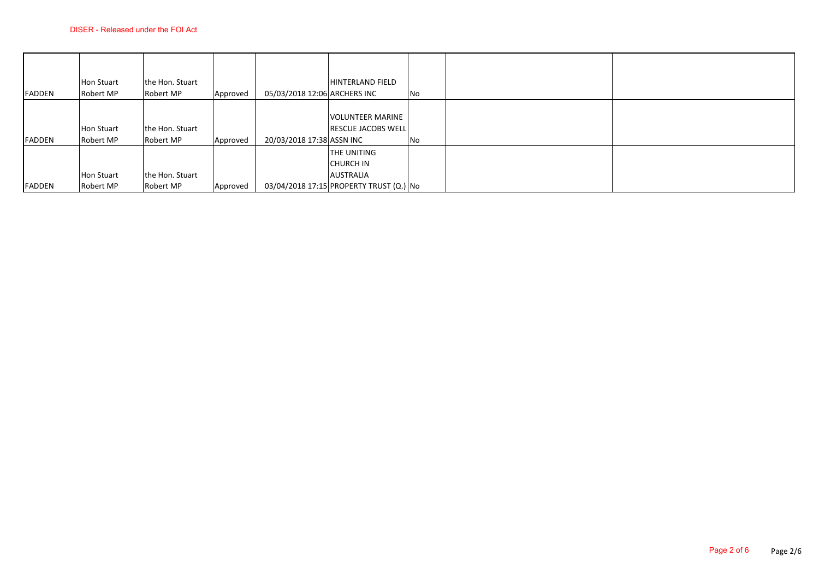| <b>FADDEN</b> | <b>Hon Stuart</b>              | the Hon. Stuart              |          | 05/03/2018 12:06 ARCHERS INC | <b>HINTERLAND FIELD</b>                                                                               |    |
|---------------|--------------------------------|------------------------------|----------|------------------------------|-------------------------------------------------------------------------------------------------------|----|
|               | Robert MP                      | Robert MP                    | Approved |                              |                                                                                                       | No |
| <b>FADDEN</b> | <b>Hon Stuart</b><br>Robert MP | the Hon. Stuart<br>Robert MP | Approved | 20/03/2018 17:38 ASSN INC    | <b>VOLUNTEER MARINE</b><br><b>RESCUE JACOBS WELL</b>                                                  | No |
| <b>FADDEN</b> | Hon Stuart<br>Robert MP        | the Hon. Stuart<br>Robert MP | Approved |                              | <b>THE UNITING</b><br><b>CHURCH IN</b><br><b>AUSTRALIA</b><br>03/04/2018 17:15 PROPERTY TRUST (Q.) No |    |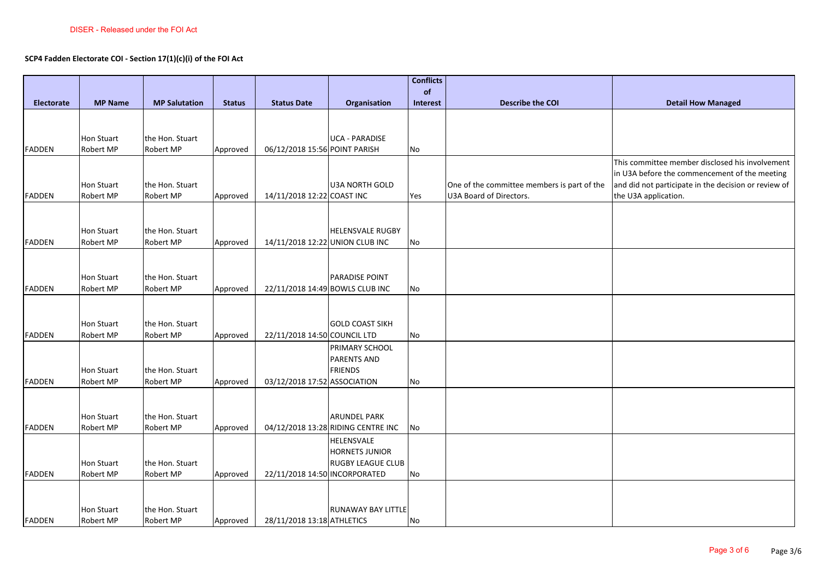## **SCP4 Fadden Electorate COI - Section 17(1)(c)(i) of the FOI Act**

|                   |                         |                      |               |                                 |                                    | <b>Conflicts</b> |                                             |                                                      |
|-------------------|-------------------------|----------------------|---------------|---------------------------------|------------------------------------|------------------|---------------------------------------------|------------------------------------------------------|
|                   |                         |                      |               |                                 |                                    | of               |                                             |                                                      |
| <b>Electorate</b> | <b>MP Name</b>          | <b>MP Salutation</b> | <b>Status</b> | <b>Status Date</b>              | Organisation                       | Interest         | <b>Describe the COI</b>                     | <b>Detail How Managed</b>                            |
|                   |                         |                      |               |                                 |                                    |                  |                                             |                                                      |
|                   |                         |                      |               |                                 |                                    |                  |                                             |                                                      |
|                   | <b>Hon Stuart</b>       | the Hon. Stuart      |               |                                 | <b>UCA - PARADISE</b>              |                  |                                             |                                                      |
| <b>FADDEN</b>     | Robert MP               | Robert MP            | Approved      | 06/12/2018 15:56 POINT PARISH   |                                    | No               |                                             |                                                      |
|                   |                         |                      |               |                                 |                                    |                  |                                             | This committee member disclosed his involvement      |
|                   |                         |                      |               |                                 |                                    |                  |                                             | in U3A before the commencement of the meeting        |
|                   | <b>Hon Stuart</b>       | the Hon. Stuart      |               |                                 | <b>U3A NORTH GOLD</b>              |                  | One of the committee members is part of the | and did not participate in the decision or review of |
| <b>FADDEN</b>     | Robert MP               | Robert MP            | Approved      | 14/11/2018 12:22 COAST INC      |                                    | Yes              | U3A Board of Directors.                     | the U3A application.                                 |
|                   |                         |                      |               |                                 |                                    |                  |                                             |                                                      |
|                   |                         | the Hon. Stuart      |               |                                 | <b>HELENSVALE RUGBY</b>            |                  |                                             |                                                      |
| FADDEN            | Hon Stuart<br>Robert MP | Robert MP            |               | 14/11/2018 12:22 UNION CLUB INC |                                    | No               |                                             |                                                      |
|                   |                         |                      | Approved      |                                 |                                    |                  |                                             |                                                      |
|                   |                         |                      |               |                                 |                                    |                  |                                             |                                                      |
|                   | <b>Hon Stuart</b>       | the Hon. Stuart      |               |                                 | <b>PARADISE POINT</b>              |                  |                                             |                                                      |
| <b>FADDEN</b>     | Robert MP               | Robert MP            | Approved      | 22/11/2018 14:49 BOWLS CLUB INC |                                    | No               |                                             |                                                      |
|                   |                         |                      |               |                                 |                                    |                  |                                             |                                                      |
|                   |                         |                      |               |                                 |                                    |                  |                                             |                                                      |
|                   | <b>Hon Stuart</b>       | the Hon. Stuart      |               |                                 | <b>GOLD COAST SIKH</b>             |                  |                                             |                                                      |
| <b>FADDEN</b>     | Robert MP               | Robert MP            | Approved      | 22/11/2018 14:50 COUNCIL LTD    |                                    | No               |                                             |                                                      |
|                   |                         |                      |               |                                 | PRIMARY SCHOOL                     |                  |                                             |                                                      |
|                   |                         |                      |               |                                 | <b>PARENTS AND</b>                 |                  |                                             |                                                      |
|                   | Hon Stuart              | the Hon. Stuart      |               |                                 | <b>FRIENDS</b>                     |                  |                                             |                                                      |
| <b>FADDEN</b>     | Robert MP               | Robert MP            | Approved      | 03/12/2018 17:52 ASSOCIATION    |                                    | No               |                                             |                                                      |
|                   |                         |                      |               |                                 |                                    |                  |                                             |                                                      |
|                   |                         |                      |               |                                 |                                    |                  |                                             |                                                      |
|                   | <b>Hon Stuart</b>       | the Hon. Stuart      |               |                                 | <b>ARUNDEL PARK</b>                |                  |                                             |                                                      |
| <b>FADDEN</b>     | Robert MP               | Robert MP            | Approved      |                                 | 04/12/2018 13:28 RIDING CENTRE INC | No               |                                             |                                                      |
|                   |                         |                      |               |                                 | <b>HELENSVALE</b>                  |                  |                                             |                                                      |
|                   |                         |                      |               |                                 | <b>HORNETS JUNIOR</b>              |                  |                                             |                                                      |
|                   | <b>Hon Stuart</b>       | the Hon. Stuart      |               |                                 | <b>RUGBY LEAGUE CLUB</b>           |                  |                                             |                                                      |
| <b>FADDEN</b>     | Robert MP               | Robert MP            | Approved      | 22/11/2018 14:50 INCORPORATED   |                                    | No               |                                             |                                                      |
|                   |                         |                      |               |                                 |                                    |                  |                                             |                                                      |
|                   |                         |                      |               |                                 |                                    |                  |                                             |                                                      |
|                   | Hon Stuart              | the Hon. Stuart      |               |                                 | <b>RUNAWAY BAY LITTLE</b>          |                  |                                             |                                                      |
| <b>FADDEN</b>     | Robert MP               | Robert MP            | Approved      | 28/11/2018 13:18 ATHLETICS      |                                    | No               |                                             |                                                      |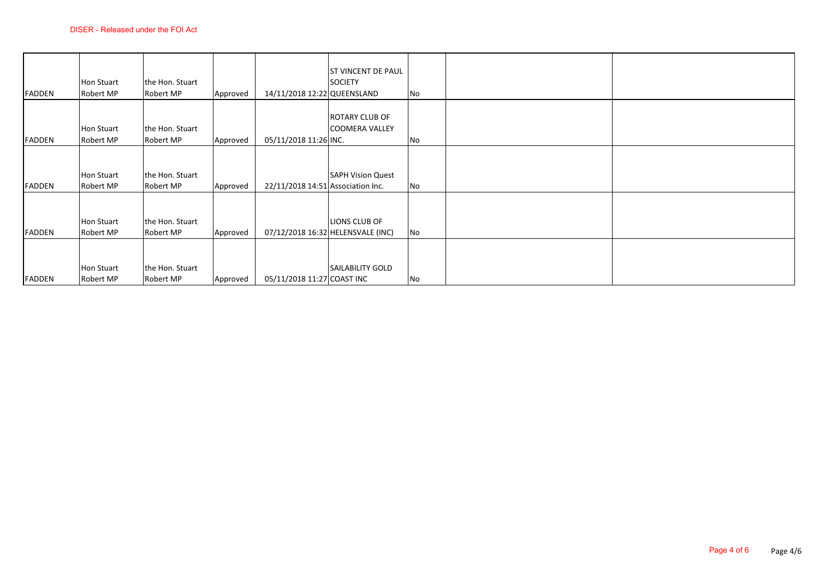|               | <b>Hon Stuart</b>              | the Hon. Stuart              |          |                                   | <b>ST VINCENT DE PAUL</b><br><b>SOCIETY</b>        |    |  |
|---------------|--------------------------------|------------------------------|----------|-----------------------------------|----------------------------------------------------|----|--|
| <b>FADDEN</b> | Robert MP                      | Robert MP                    | Approved | 14/11/2018 12:22 QUEENSLAND       |                                                    | No |  |
| <b>FADDEN</b> | Hon Stuart<br>Robert MP        | the Hon. Stuart<br>Robert MP | Approved | 05/11/2018 11:26 INC.             | ROTARY CLUB OF<br><b>COOMERA VALLEY</b>            | No |  |
| <b>FADDEN</b> | Hon Stuart<br>Robert MP        | the Hon. Stuart<br>Robert MP | Approved | 22/11/2018 14:51 Association Inc. | <b>SAPH Vision Quest</b>                           | No |  |
| <b>FADDEN</b> | Hon Stuart<br>Robert MP        | the Hon. Stuart<br>Robert MP | Approved |                                   | LIONS CLUB OF<br>07/12/2018 16:32 HELENSVALE (INC) | No |  |
| <b>FADDEN</b> | <b>Hon Stuart</b><br>Robert MP | the Hon. Stuart<br>Robert MP | Approved | 05/11/2018 11:27 COAST INC        | <b>SAILABILITY GOLD</b>                            | No |  |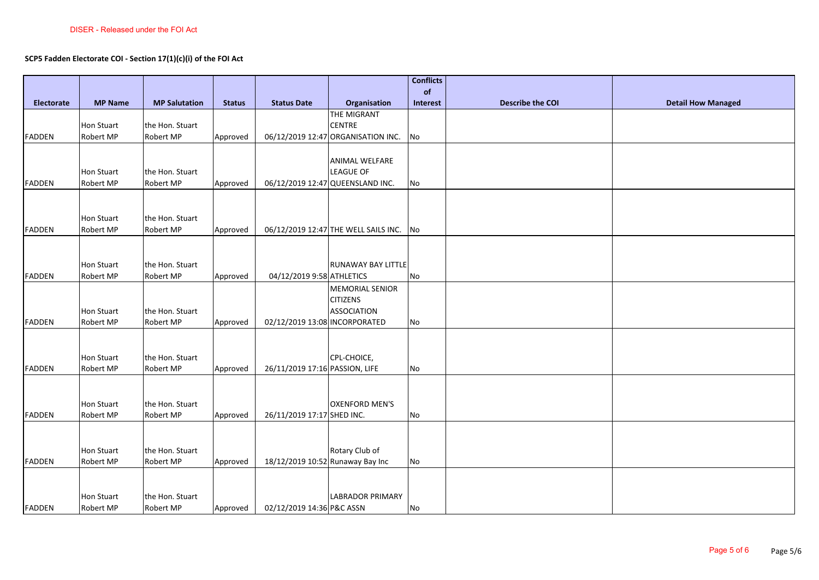## **SCP5 Fadden Electorate COI - Section 17(1)(c)(i) of the FOI Act**

|                   |                   |                      |               |                                  |                                      | <b>Conflicts</b> |                         |                           |
|-------------------|-------------------|----------------------|---------------|----------------------------------|--------------------------------------|------------------|-------------------------|---------------------------|
|                   |                   |                      |               |                                  |                                      | of               |                         |                           |
| <b>Electorate</b> | <b>MP Name</b>    | <b>MP Salutation</b> | <b>Status</b> | <b>Status Date</b>               | Organisation                         | Interest         | <b>Describe the COI</b> | <b>Detail How Managed</b> |
|                   |                   |                      |               |                                  | THE MIGRANT                          |                  |                         |                           |
|                   | <b>Hon Stuart</b> | the Hon. Stuart      |               |                                  | <b>CENTRE</b>                        |                  |                         |                           |
| FADDEN            | Robert MP         | Robert MP            | Approved      |                                  | 06/12/2019 12:47 ORGANISATION INC.   | No               |                         |                           |
|                   |                   |                      |               |                                  |                                      |                  |                         |                           |
|                   |                   |                      |               |                                  | ANIMAL WELFARE                       |                  |                         |                           |
|                   | <b>Hon Stuart</b> | the Hon. Stuart      |               |                                  | <b>LEAGUE OF</b>                     |                  |                         |                           |
| <b>FADDEN</b>     | Robert MP         | Robert MP            | Approved      |                                  | 06/12/2019 12:47 QUEENSLAND INC.     | No               |                         |                           |
|                   |                   |                      |               |                                  |                                      |                  |                         |                           |
|                   | Hon Stuart        | the Hon. Stuart      |               |                                  |                                      |                  |                         |                           |
| <b>FADDEN</b>     | Robert MP         | Robert MP            | Approved      |                                  | 06/12/2019 12:47 THE WELL SAILS INC. | No               |                         |                           |
|                   |                   |                      |               |                                  |                                      |                  |                         |                           |
|                   |                   |                      |               |                                  |                                      |                  |                         |                           |
|                   | <b>Hon Stuart</b> | the Hon. Stuart      |               |                                  | <b>RUNAWAY BAY LITTLE</b>            |                  |                         |                           |
| <b>FADDEN</b>     | Robert MP         | Robert MP            | Approved      | 04/12/2019 9:58 ATHLETICS        |                                      | No               |                         |                           |
|                   |                   |                      |               |                                  | <b>MEMORIAL SENIOR</b>               |                  |                         |                           |
|                   |                   |                      |               |                                  | <b>CITIZENS</b>                      |                  |                         |                           |
|                   | <b>Hon Stuart</b> | the Hon. Stuart      |               |                                  | <b>ASSOCIATION</b>                   |                  |                         |                           |
| <b>FADDEN</b>     | Robert MP         | Robert MP            | Approved      | 02/12/2019 13:08 INCORPORATED    |                                      | No               |                         |                           |
|                   |                   |                      |               |                                  |                                      |                  |                         |                           |
|                   |                   |                      |               |                                  |                                      |                  |                         |                           |
|                   | <b>Hon Stuart</b> | the Hon. Stuart      |               |                                  | CPL-CHOICE,                          |                  |                         |                           |
| <b>FADDEN</b>     | Robert MP         | Robert MP            | Approved      | 26/11/2019 17:16 PASSION, LIFE   |                                      | No               |                         |                           |
|                   |                   |                      |               |                                  |                                      |                  |                         |                           |
|                   |                   |                      |               |                                  |                                      |                  |                         |                           |
|                   | <b>Hon Stuart</b> | the Hon. Stuart      |               |                                  | <b>OXENFORD MEN'S</b>                |                  |                         |                           |
| <b>FADDEN</b>     | Robert MP         | Robert MP            | Approved      | 26/11/2019 17:17 SHED INC.       |                                      | No               |                         |                           |
|                   |                   |                      |               |                                  |                                      |                  |                         |                           |
|                   |                   |                      |               |                                  |                                      |                  |                         |                           |
|                   | <b>Hon Stuart</b> | the Hon. Stuart      |               |                                  | Rotary Club of                       |                  |                         |                           |
| <b>FADDEN</b>     | Robert MP         | Robert MP            | Approved      | 18/12/2019 10:52 Runaway Bay Inc |                                      | No               |                         |                           |
|                   |                   |                      |               |                                  |                                      |                  |                         |                           |
|                   |                   |                      |               |                                  |                                      |                  |                         |                           |
|                   | <b>Hon Stuart</b> | the Hon. Stuart      |               |                                  | <b>LABRADOR PRIMARY</b>              |                  |                         |                           |
| <b>FADDEN</b>     | Robert MP         | Robert MP            | Approved      | 02/12/2019 14:36 P&C ASSN        |                                      | No               |                         |                           |